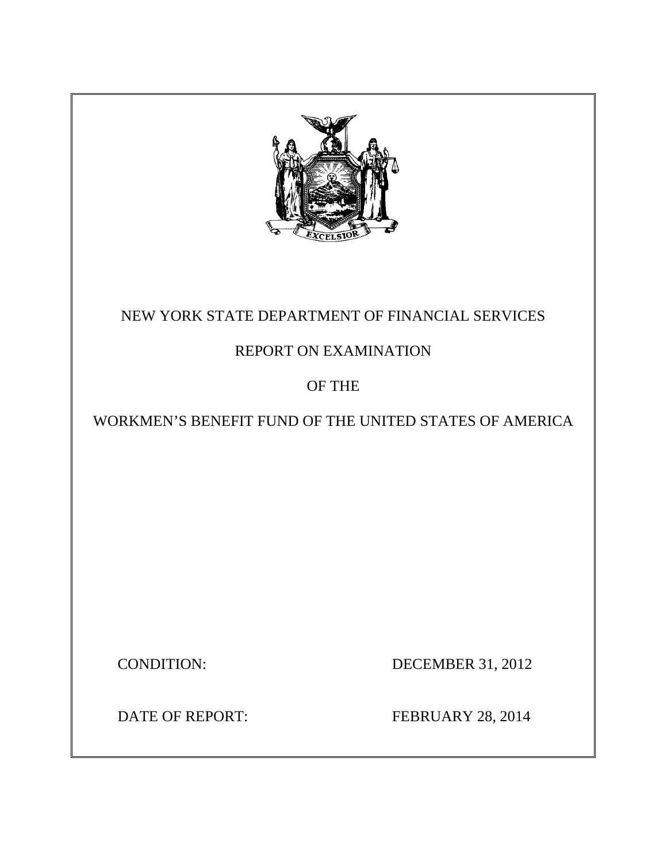

## NEW YORK STATE DEPARTMENT OF FINANCIAL SERVICES

## REPORT ON EXAMINATION

## OF THE

## WORKMEN'S BENEFIT FUND OF THE UNITED STATES OF AMERICA

CONDITION: DECEMBER 31, 2012

**DATE OF REPORT:** 

FEBRUARY 28, 2014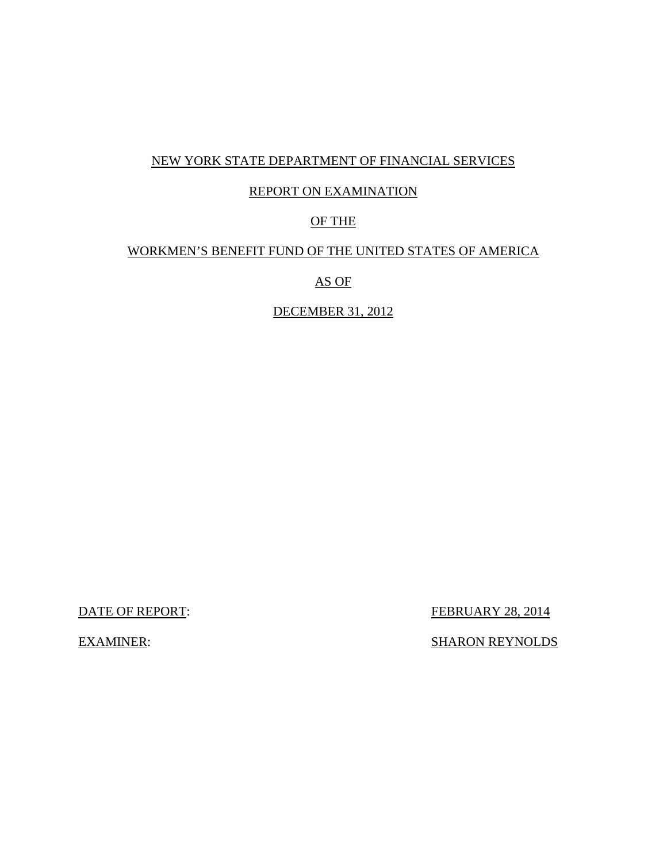## NEW YORK STATE DEPARTMENT OF FINANCIAL SERVICES

#### REPORT ON EXAMINATION

#### OF THE

#### WORKMEN'S BENEFIT FUND OF THE UNITED STATES OF AMERICA

AS OF

DECEMBER 31, 2012

**DATE OF REPORT:** 

FEBRUARY 28, 2014

EXAMINER: SHARON REYNOLDS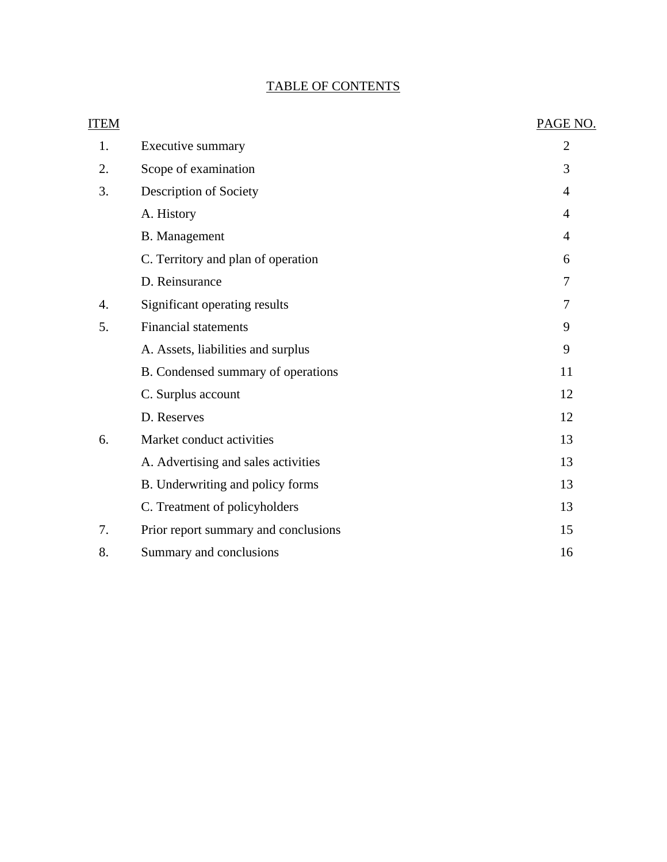## TABLE OF CONTENTS

| <b>ITEM</b> |                                      | PAGE NO.       |
|-------------|--------------------------------------|----------------|
| 1.          | Executive summary                    | $\overline{2}$ |
| 2.          | Scope of examination                 | 3              |
| 3.          | Description of Society               | 4              |
|             | A. History                           | $\overline{4}$ |
|             | <b>B.</b> Management                 | $\overline{4}$ |
|             | C. Territory and plan of operation   | 6              |
|             | D. Reinsurance                       | 7              |
| 4.          | Significant operating results        | 7              |
| 5.          | <b>Financial statements</b>          | 9              |
|             | A. Assets, liabilities and surplus   | 9              |
|             | B. Condensed summary of operations   | 11             |
|             | C. Surplus account                   | 12             |
|             | D. Reserves                          | 12             |
| 6.          | Market conduct activities            | 13             |
|             | A. Advertising and sales activities  | 13             |
|             | B. Underwriting and policy forms     | 13             |
|             | C. Treatment of policyholders        | 13             |
| 7.          | Prior report summary and conclusions | 15             |
| 8.          | Summary and conclusions              | 16             |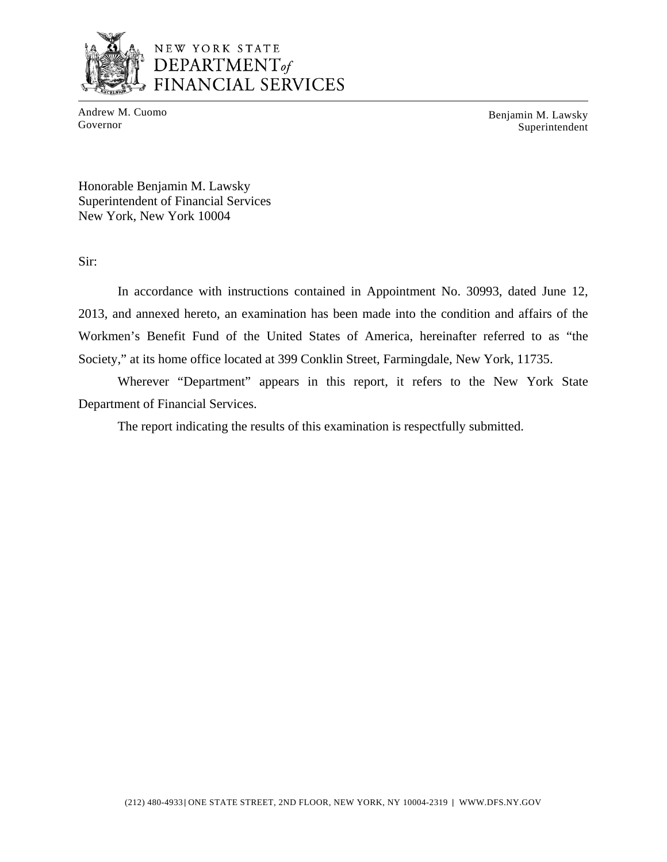

## NEW YORK STATE DEPARTMENT<sub>of</sub> FINANCIAL SERVICES

Andrew M. Cuomo Benjamin M. Lawsky<br>Governor Superintendent Superintendent

Honorable Benjamin M. Lawsky Superintendent of Financial Services New York, New York 10004

Sir:

In accordance with instructions contained in Appointment No. 30993, dated June 12, 2013, and annexed hereto, an examination has been made into the condition and affairs of the Workmen's Benefit Fund of the United States of America, hereinafter referred to as "the Society," at its home office located at 399 Conklin Street, Farmingdale, New York, 11735.

Wherever "Department" appears in this report, it refers to the New York State Department of Financial Services.

The report indicating the results of this examination is respectfully submitted.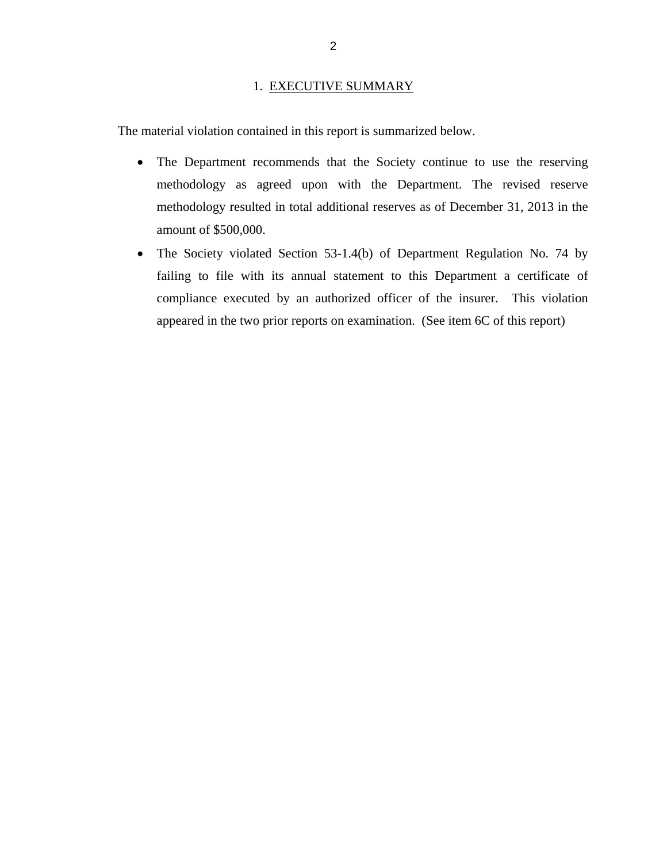#### 1. EXECUTIVE SUMMARY

<span id="page-4-0"></span>The material violation contained in this report is summarized below.

- The Department recommends that the Society continue to use the reserving methodology as agreed upon with the Department. The revised reserve methodology resulted in total additional reserves as of December 31, 2013 in the amount of \$500,000.
- The Society violated Section 53-1.4(b) of Department Regulation No. 74 by failing to file with its annual statement to this Department a certificate of compliance executed by an authorized officer of the insurer. This violation appeared in the two prior reports on examination. (See item 6C of this report)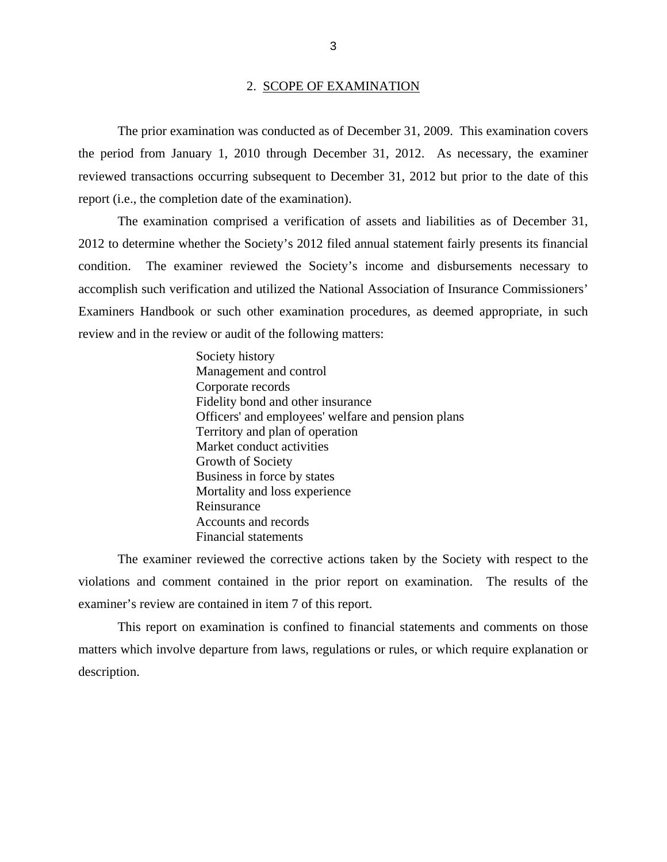#### 2. SCOPE OF EXAMINATION

<span id="page-5-0"></span>The prior examination was conducted as of December 31, 2009. This examination covers the period from January 1, 2010 through December 31, 2012. As necessary, the examiner reviewed transactions occurring subsequent to December 31, 2012 but prior to the date of this report (i.e., the completion date of the examination).

The examination comprised a verification of assets and liabilities as of December 31, 2012 to determine whether the Society's 2012 filed annual statement fairly presents its financial condition. The examiner reviewed the Society's income and disbursements necessary to accomplish such verification and utilized the National Association of Insurance Commissioners' Examiners Handbook or such other examination procedures, as deemed appropriate, in such review and in the review or audit of the following matters:

> Society history Management and control Corporate records Fidelity bond and other insurance Officers' and employees' welfare and pension plans Territory and plan of operation Market conduct activities Growth of Society Business in force by states Mortality and loss experience Reinsurance Accounts and records Financial statements

The examiner reviewed the corrective actions taken by the Society with respect to the violations and comment contained in the prior report on examination. The results of the examiner's review are contained in item 7 of this report.

This report on examination is confined to financial statements and comments on those matters which involve departure from laws, regulations or rules, or which require explanation or description.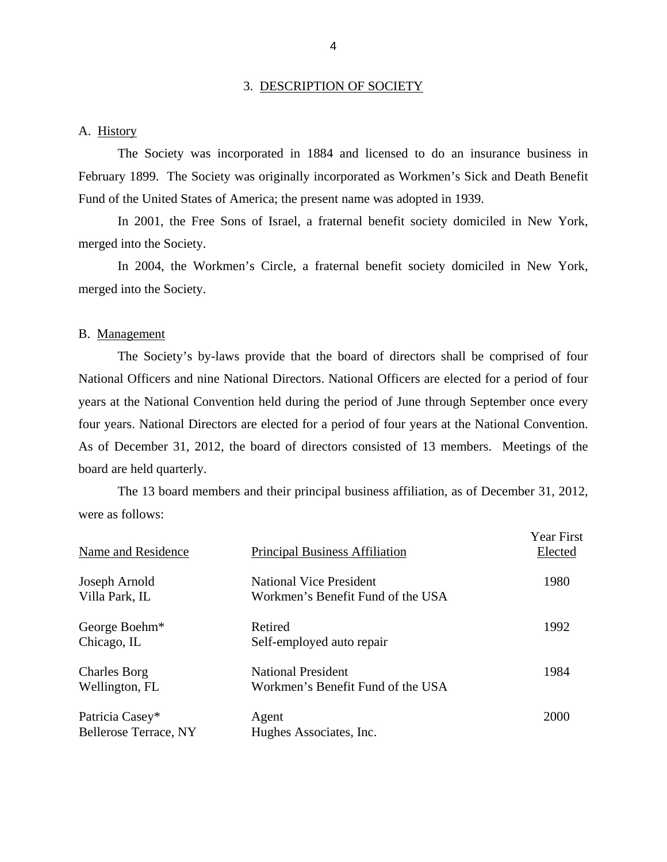#### 3. DESCRIPTION OF SOCIETY

#### A. History

The Society was incorporated in 1884 and licensed to do an insurance business in February 1899. The Society was originally incorporated as Workmen's Sick and Death Benefit Fund of the United States of America; the present name was adopted in 1939.

In 2001, the Free Sons of Israel, a fraternal benefit society domiciled in New York, merged into the Society.

In 2004, the Workmen's Circle, a fraternal benefit society domiciled in New York, merged into the Society.

#### B. Management

The Society's by-laws provide that the board of directors shall be comprised of four National Officers and nine National Directors. National Officers are elected for a period of four years at the National Convention held during the period of June through September once every four years. National Directors are elected for a period of four years at the National Convention. As of December 31, 2012, the board of directors consisted of 13 members. Meetings of the board are held quarterly.

The 13 board members and their principal business affiliation, as of December 31, 2012, were as follows:

| Name and Residence                       | <b>Principal Business Affiliation</b>                               | <b>Year First</b><br>Elected |
|------------------------------------------|---------------------------------------------------------------------|------------------------------|
| Joseph Arnold<br>Villa Park, IL          | <b>National Vice President</b><br>Workmen's Benefit Fund of the USA | 1980                         |
| George Boehm*<br>Chicago, IL             | Retired<br>Self-employed auto repair                                | 1992                         |
| <b>Charles Borg</b><br>Wellington, FL    | <b>National President</b><br>Workmen's Benefit Fund of the USA      | 1984                         |
| Patricia Casey*<br>Bellerose Terrace, NY | Agent<br>Hughes Associates, Inc.                                    | 2000                         |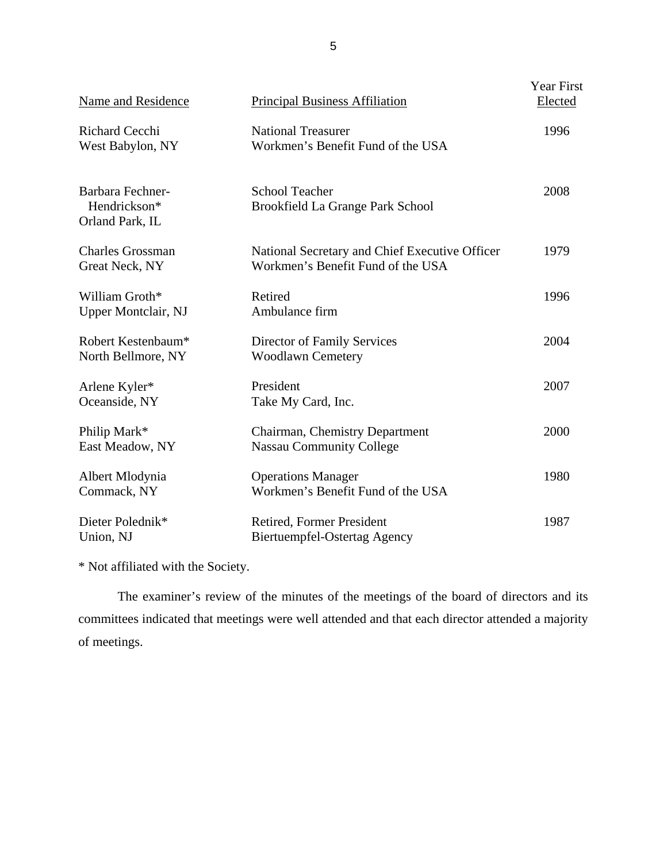| Name and Residence                                  | <b>Principal Business Affiliation</b>                                               | Year First<br>Elected |
|-----------------------------------------------------|-------------------------------------------------------------------------------------|-----------------------|
| <b>Richard Cecchi</b><br>West Babylon, NY           | <b>National Treasurer</b><br>Workmen's Benefit Fund of the USA                      | 1996                  |
| Barbara Fechner-<br>Hendrickson*<br>Orland Park, IL | <b>School Teacher</b><br>Brookfield La Grange Park School                           | 2008                  |
| <b>Charles Grossman</b><br>Great Neck, NY           | National Secretary and Chief Executive Officer<br>Workmen's Benefit Fund of the USA | 1979                  |
| William Groth*<br>Upper Montclair, NJ               | Retired<br>Ambulance firm                                                           | 1996                  |
| Robert Kestenbaum*<br>North Bellmore, NY            | Director of Family Services<br><b>Woodlawn Cemetery</b>                             | 2004                  |
| Arlene Kyler*<br>Oceanside, NY                      | President<br>Take My Card, Inc.                                                     | 2007                  |
| Philip Mark*<br>East Meadow, NY                     | Chairman, Chemistry Department<br><b>Nassau Community College</b>                   | 2000                  |
| Albert Mlodynia<br>Commack, NY                      | <b>Operations Manager</b><br>Workmen's Benefit Fund of the USA                      | 1980                  |
| Dieter Polednik*<br>Union, NJ                       | Retired, Former President<br><b>Biertuempfel-Ostertag Agency</b>                    | 1987                  |

\* Not affiliated with the Society.

The examiner's review of the minutes of the meetings of the board of directors and its committees indicated that meetings were well attended and that each director attended a majority of meetings.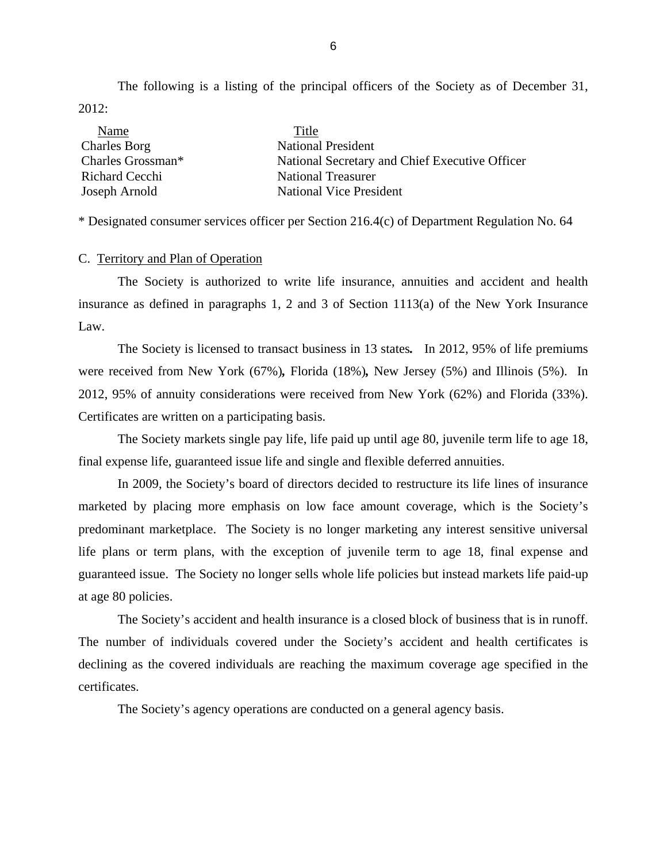<span id="page-8-0"></span>The following is a listing of the principal officers of the Society as of December 31, 2012:

| Name                | Title                                          |
|---------------------|------------------------------------------------|
| <b>Charles Borg</b> | <b>National President</b>                      |
| Charles Grossman*   | National Secretary and Chief Executive Officer |
| Richard Cecchi      | <b>National Treasurer</b>                      |
| Joseph Arnold       | <b>National Vice President</b>                 |

\* Designated consumer services officer per Section 216.4(c) of Department Regulation No. 64

#### C. Territory and Plan of Operation

The Society is authorized to write life insurance, annuities and accident and health insurance as defined in paragraphs 1, 2 and 3 of Section 1113(a) of the New York Insurance Law.

 were received from New York (67%)*,* Florida (18%)*,* New Jersey (5%) and Illinois (5%). In  2012, 95% of annuity considerations were received from New York (62%) and Florida (33%). The Society is licensed to transact business in 13 states*.* In 2012, 95% of life premiums Certificates are written on a participating basis.

The Society markets single pay life, life paid up until age 80, juvenile term life to age 18, final expense life, guaranteed issue life and single and flexible deferred annuities.

In 2009, the Society's board of directors decided to restructure its life lines of insurance marketed by placing more emphasis on low face amount coverage, which is the Society's predominant marketplace. The Society is no longer marketing any interest sensitive universal life plans or term plans, with the exception of juvenile term to age 18, final expense and guaranteed issue. The Society no longer sells whole life policies but instead markets life paid-up at age 80 policies.

The Society's accident and health insurance is a closed block of business that is in runoff. The number of individuals covered under the Society's accident and health certificates is declining as the covered individuals are reaching the maximum coverage age specified in the certificates.

The Society's agency operations are conducted on a general agency basis.

6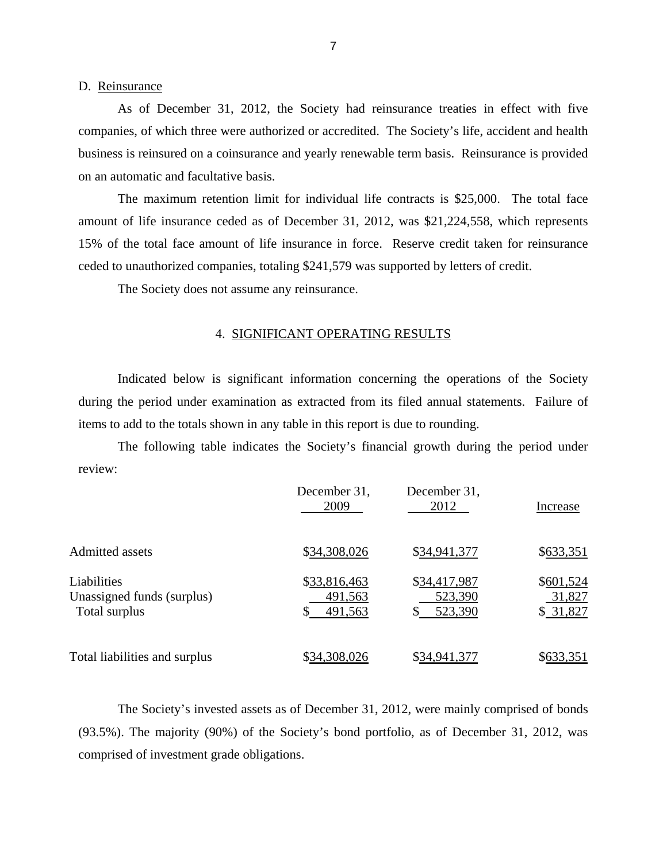#### D. Reinsurance

As of December 31, 2012, the Society had reinsurance treaties in effect with five companies, of which three were authorized or accredited. The Society's life, accident and health business is reinsured on a coinsurance and yearly renewable term basis. Reinsurance is provided on an automatic and facultative basis.

The maximum retention limit for individual life contracts is \$25,000. The total face amount of life insurance ceded as of December 31, 2012, was \$21,224,558, which represents 15% of the total face amount of life insurance in force. Reserve credit taken for reinsurance ceded to unauthorized companies, totaling \$241,579 was supported by letters of credit.

The Society does not assume any reinsurance.

#### 4. SIGNIFICANT OPERATING RESULTS

Indicated below is significant information concerning the operations of the Society during the period under examination as extracted from its filed annual statements. Failure of items to add to the totals shown in any table in this report is due to rounding.

The following table indicates the Society's financial growth during the period under review:

|                                                            | December 31,<br>2009               | December 31,<br>2012               | Increase                        |
|------------------------------------------------------------|------------------------------------|------------------------------------|---------------------------------|
| <b>Admitted assets</b>                                     | \$34,308,026                       | \$34,941,377                       | \$633,351                       |
| Liabilities<br>Unassigned funds (surplus)<br>Total surplus | \$33,816,463<br>491,563<br>491,563 | \$34,417,987<br>523,390<br>523,390 | \$601,524<br>31,827<br>\$31,827 |
| Total liabilities and surplus                              | \$34,308,026                       | \$34,941,377                       | \$633,351                       |

The Society's invested assets as of December 31, 2012, were mainly comprised of bonds (93.5%). The majority (90%) of the Society's bond portfolio, as of December 31, 2012, was comprised of investment grade obligations.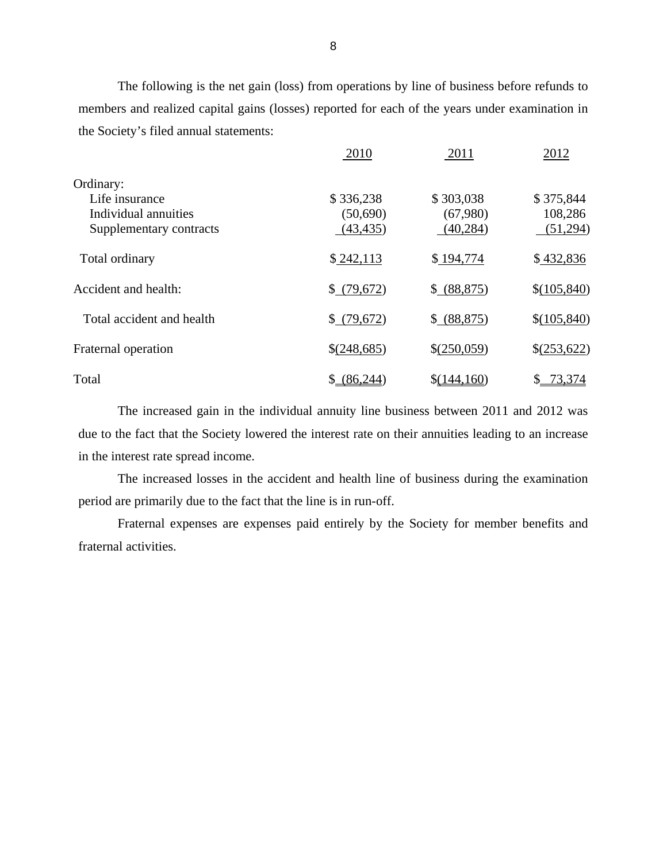The following is the net gain (loss) from operations by line of business before refunds to members and realized capital gains (losses) reported for each of the years under examination in the Society's filed annual statements:

|                           | 2010        | 2011         | 2012         |
|---------------------------|-------------|--------------|--------------|
| Ordinary:                 |             |              |              |
| Life insurance            | \$336,238   | \$303,038    | \$375,844    |
| Individual annuities      | (50,690)    | (67,980)     | 108,286      |
| Supplementary contracts   | (43, 435)   | (40, 284)    | (51,294)     |
| Total ordinary            | \$242,113   | \$194,774    | \$432,836    |
| Accident and health:      | \$(79,672)  | \$ (88, 875) | \$(105,840)  |
| Total accident and health | \$(79,672)  | \$ (88, 875) | \$(105,840)  |
| Fraternal operation       | \$(248,685) | \$(250,059)  | \$(253,622)  |
| Total                     | \$ (86,244) | \$(144,160)  | 73,374<br>\$ |

The increased gain in the individual annuity line business between 2011 and 2012 was due to the fact that the Society lowered the interest rate on their annuities leading to an increase in the interest rate spread income.

The increased losses in the accident and health line of business during the examination period are primarily due to the fact that the line is in run-off.

Fraternal expenses are expenses paid entirely by the Society for member benefits and fraternal activities.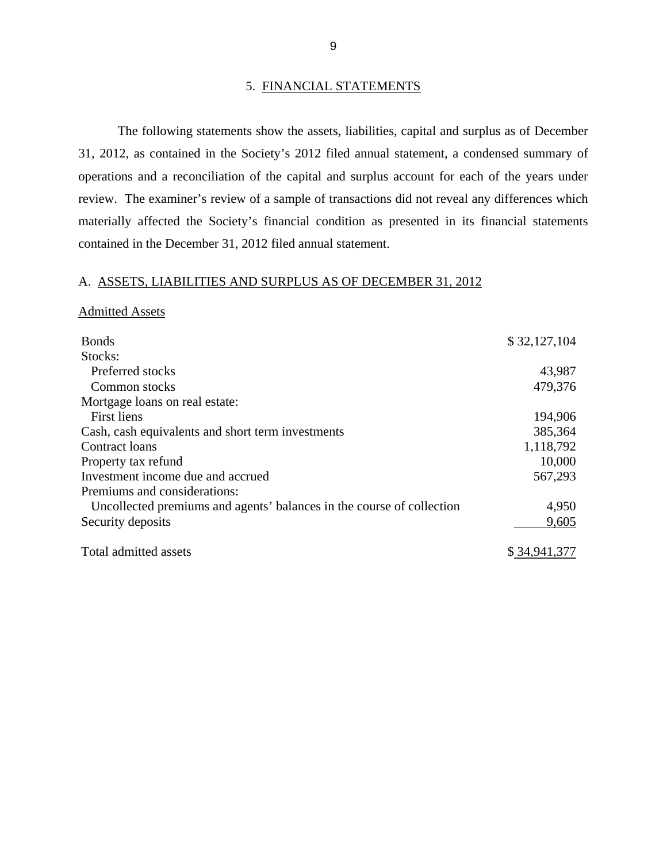#### 5. FINANCIAL STATEMENTS

<span id="page-11-0"></span>The following statements show the assets, liabilities, capital and surplus as of December 31, 2012, as contained in the Society's 2012 filed annual statement, a condensed summary of operations and a reconciliation of the capital and surplus account for each of the years under review. The examiner's review of a sample of transactions did not reveal any differences which materially affected the Society's financial condition as presented in its financial statements contained in the December 31, 2012 filed annual statement.

#### A. ASSETS, LIABILITIES AND SURPLUS AS OF DECEMBER 31, 2012

#### Admitted Assets

| <b>Bonds</b>                                                          | \$32,127,104 |
|-----------------------------------------------------------------------|--------------|
| Stocks:                                                               |              |
| Preferred stocks                                                      | 43,987       |
| Common stocks                                                         | 479,376      |
| Mortgage loans on real estate:                                        |              |
| First liens                                                           | 194,906      |
| Cash, cash equivalents and short term investments                     | 385,364      |
| Contract loans                                                        | 1,118,792    |
| Property tax refund                                                   | 10,000       |
| Investment income due and accrued                                     | 567,293      |
| Premiums and considerations:                                          |              |
| Uncollected premiums and agents' balances in the course of collection | 4,950        |
| Security deposits                                                     | 9,605        |
| Total admitted assets                                                 | \$34.941.377 |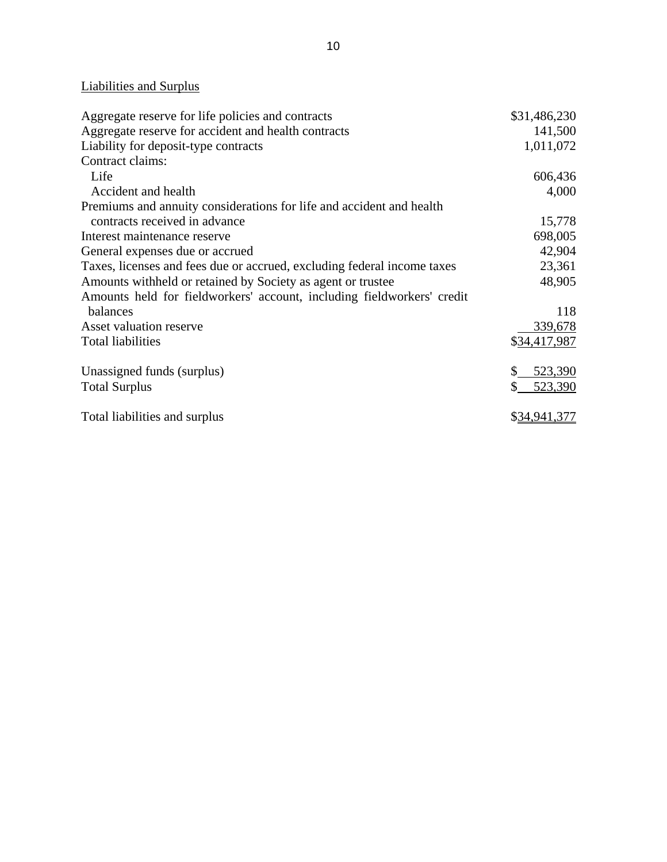## Liabilities and Surplus

| Aggregate reserve for life policies and contracts                       | \$31,486,230 |
|-------------------------------------------------------------------------|--------------|
| Aggregate reserve for accident and health contracts                     | 141,500      |
| Liability for deposit-type contracts                                    | 1,011,072    |
| Contract claims:                                                        |              |
| Life                                                                    | 606,436      |
| Accident and health                                                     | 4,000        |
| Premiums and annuity considerations for life and accident and health    |              |
| contracts received in advance                                           | 15,778       |
| Interest maintenance reserve                                            | 698,005      |
| General expenses due or accrued                                         | 42,904       |
| Taxes, licenses and fees due or accrued, excluding federal income taxes | 23,361       |
| Amounts withheld or retained by Society as agent or trustee             | 48,905       |
| Amounts held for fieldworkers' account, including fieldworkers' credit  |              |
| balances                                                                | 118          |
| Asset valuation reserve                                                 | 339,678      |
| <b>Total liabilities</b>                                                | \$34,417,987 |
| Unassigned funds (surplus)                                              | 523,390      |
| <b>Total Surplus</b>                                                    | 523,390      |
| Total liabilities and surplus                                           | \$34,941,377 |
|                                                                         |              |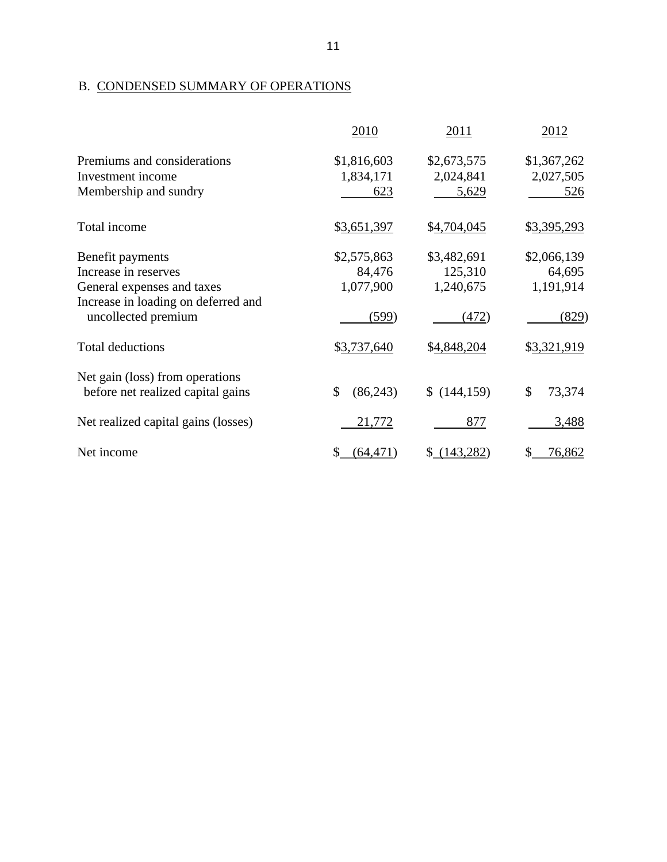## B. CONDENSED SUMMARY OF OPERATIONS

|                                     | 2010           | 2011        | 2012         |
|-------------------------------------|----------------|-------------|--------------|
| Premiums and considerations         | \$1,816,603    | \$2,673,575 | \$1,367,262  |
| Investment income                   | 1,834,171      | 2,024,841   | 2,027,505    |
| Membership and sundry               | 623            | 5,629       | <u>526</u>   |
| Total income                        | \$3,651,397    | \$4,704,045 | \$3,395,293  |
| Benefit payments                    | \$2,575,863    | \$3,482,691 | \$2,066,139  |
| Increase in reserves                | 84,476         | 125,310     | 64,695       |
| General expenses and taxes          | 1,077,900      | 1,240,675   | 1,191,914    |
| Increase in loading on deferred and |                |             |              |
| uncollected premium                 | (599)          | (472)       | (829)        |
| <b>Total deductions</b>             | \$3,737,640    | \$4,848,204 | \$3,321,919  |
| Net gain (loss) from operations     |                |             |              |
| before net realized capital gains   | \$<br>(86,243) | \$(144,159) | \$<br>73,374 |
| Net realized capital gains (losses) | 21,772         | 877         | 3,488        |
| Net income                          | (64, 471)      | (143, 282)  | 76,862<br>\$ |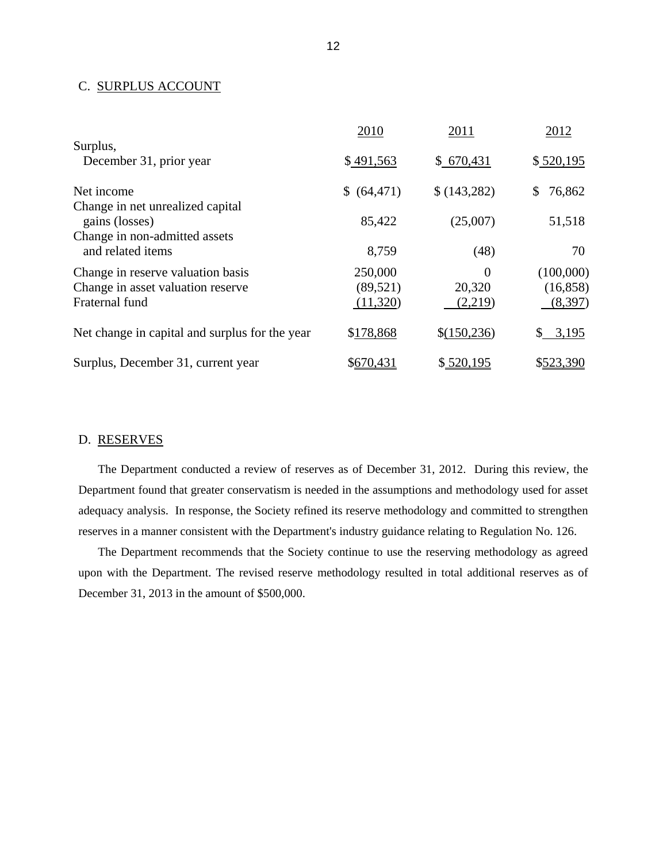#### C. SURPLUS ACCOUNT

|                                                                                          | 2010                             | 2011                          | 2012                              |
|------------------------------------------------------------------------------------------|----------------------------------|-------------------------------|-----------------------------------|
| Surplus,<br>December 31, prior year                                                      | \$491,563                        | \$670,431                     | \$520,195                         |
| Net income<br>Change in net unrealized capital                                           | \$ (64, 471)                     | \$(143,282)                   | 76,862<br>\$                      |
| gains (losses)                                                                           | 85,422                           | (25,007)                      | 51,518                            |
| Change in non-admitted assets<br>and related items                                       | 8,759                            | (48)                          | 70                                |
| Change in reserve valuation basis<br>Change in asset valuation reserve<br>Fraternal fund | 250,000<br>(89, 521)<br>(11,320) | $\Omega$<br>20,320<br>(2,219) | (100,000)<br>(16, 858)<br>(8,397) |
| Net change in capital and surplus for the year                                           | \$178,868                        | \$(150, 236)                  | 3,195<br>S.                       |
| Surplus, December 31, current year                                                       | \$670,431                        | \$520,195                     | \$523,390                         |

#### D. RESERVES

The Department conducted a review of reserves as of December 31, 2012. During this review, the Department found that greater conservatism is needed in the assumptions and methodology used for asset adequacy analysis. In response, the Society refined its reserve methodology and committed to strengthen reserves in a manner consistent with the Department's industry guidance relating to Regulation No. 126.

The Department recommends that the Society continue to use the reserving methodology as agreed upon with the Department. The revised reserve methodology resulted in total additional reserves as of December 31, 2013 in the amount of \$500,000.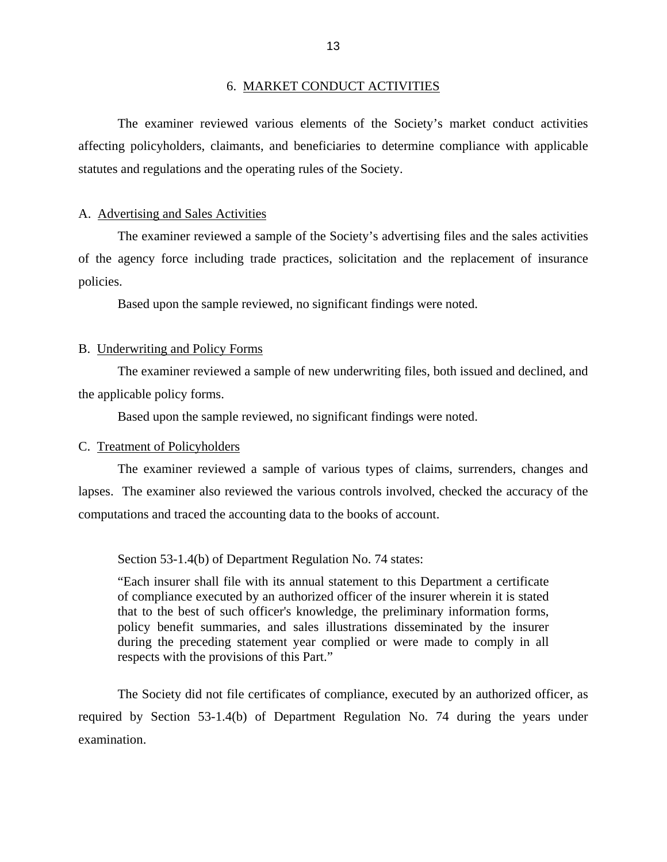#### 6. MARKET CONDUCT ACTIVITIES

<span id="page-15-0"></span>The examiner reviewed various elements of the Society's market conduct activities affecting policyholders, claimants, and beneficiaries to determine compliance with applicable statutes and regulations and the operating rules of the Society.

#### A. Advertising and Sales Activities

The examiner reviewed a sample of the Society's advertising files and the sales activities of the agency force including trade practices, solicitation and the replacement of insurance policies.

Based upon the sample reviewed, no significant findings were noted.

#### B. Underwriting and Policy Forms

The examiner reviewed a sample of new underwriting files, both issued and declined, and the applicable policy forms.

Based upon the sample reviewed, no significant findings were noted.

#### C. Treatment of Policyholders

The examiner reviewed a sample of various types of claims, surrenders, changes and lapses. The examiner also reviewed the various controls involved, checked the accuracy of the computations and traced the accounting data to the books of account.

Section 53-1.4(b) of Department Regulation No. 74 states:

"Each insurer shall file with its annual statement to this Department a certificate of compliance executed by an authorized officer of the insurer wherein it is stated that to the best of such officer's knowledge, the preliminary information forms, policy benefit summaries, and sales illustrations disseminated by the insurer during the preceding statement year complied or were made to comply in all respects with the provisions of this Part."

The Society did not file certificates of compliance, executed by an authorized officer, as required by Section 53-1.4(b) of Department Regulation No. 74 during the years under examination.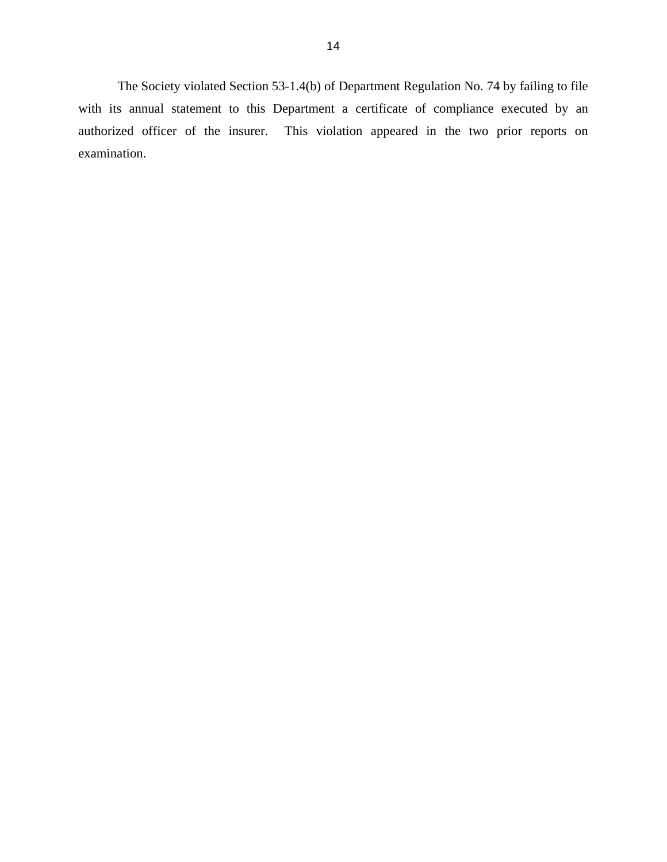The Society violated Section 53-1.4(b) of Department Regulation No. 74 by failing to file with its annual statement to this Department a certificate of compliance executed by an authorized officer of the insurer. This violation appeared in the two prior reports on examination.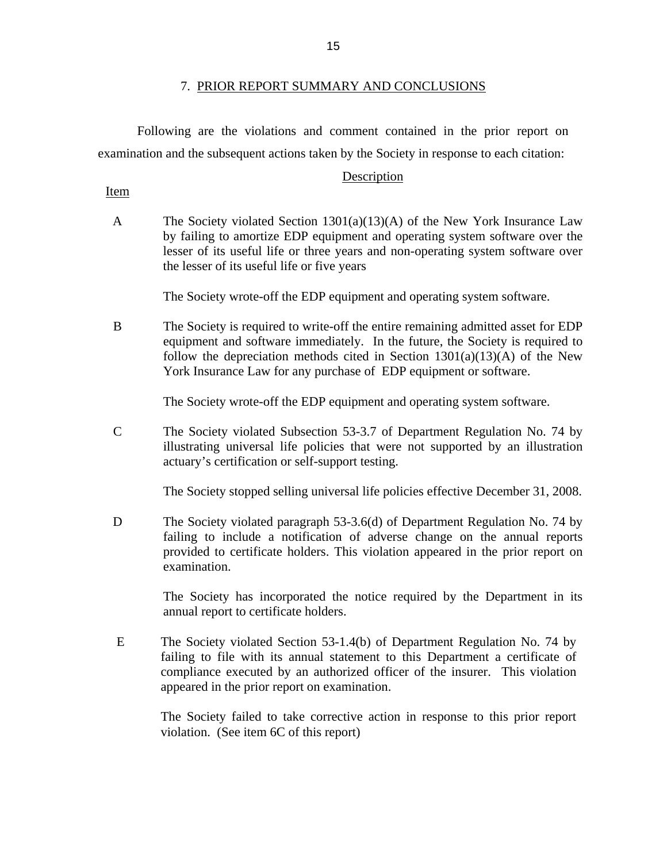#### 7. PRIOR REPORT SUMMARY AND CONCLUSIONS

Following are the violations and comment contained in the prior report on examination and the subsequent actions taken by the Society in response to each citation:

#### Description

Item

A The Society violated Section 1301(a)(13)(A) of the New York Insurance Law by failing to amortize EDP equipment and operating system software over the lesser of its useful life or three years and non-operating system software over the lesser of its useful life or five years

The Society wrote-off the EDP equipment and operating system software.

B The Society is required to write-off the entire remaining admitted asset for EDP equipment and software immediately. In the future, the Society is required to follow the depreciation methods cited in Section  $1301(a)(13)(A)$  of the New York Insurance Law for any purchase of EDP equipment or software.

The Society wrote-off the EDP equipment and operating system software.

C The Society violated Subsection 53-3.7 of Department Regulation No. 74 by illustrating universal life policies that were not supported by an illustration actuary's certification or self-support testing.

The Society stopped selling universal life policies effective December 31, 2008.

D The Society violated paragraph 53-3.6(d) of Department Regulation No. 74 by failing to include a notification of adverse change on the annual reports provided to certificate holders. This violation appeared in the prior report on examination.

> The Society has incorporated the notice required by the Department in its annual report to certificate holders.

E The Society violated Section 53-1.4(b) of Department Regulation No. 74 by failing to file with its annual statement to this Department a certificate of compliance executed by an authorized officer of the insurer. This violation appeared in the prior report on examination.

The Society failed to take corrective action in response to this prior report violation. (See item 6C of this report)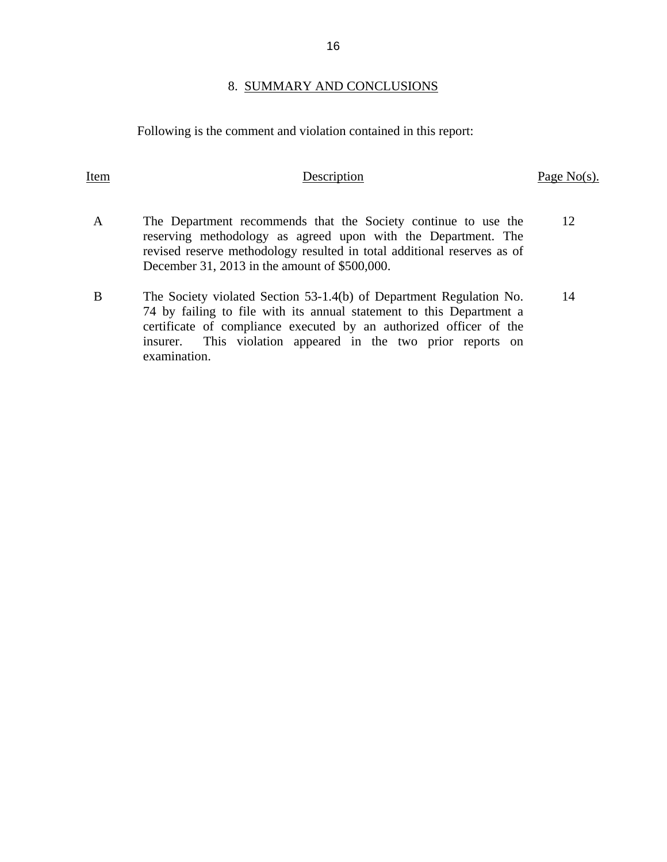#### 8. SUMMARY AND CONCLUSIONS

Following is the comment and violation contained in this report:

examination.

A The Department recommends that the Society continue to use the reserving methodology as agreed upon with the Department. The revised reserve methodology resulted in total additional reserves as of December 31, 2013 in the amount of \$500,000. 12 B The Society violated Section 53-1.4(b) of Department Regulation No. 74 by failing to file with its annual statement to this Department a certificate of compliance executed by an authorized officer of the insurer. This violation appeared in the two prior reports on 14

Item Description Page No(s).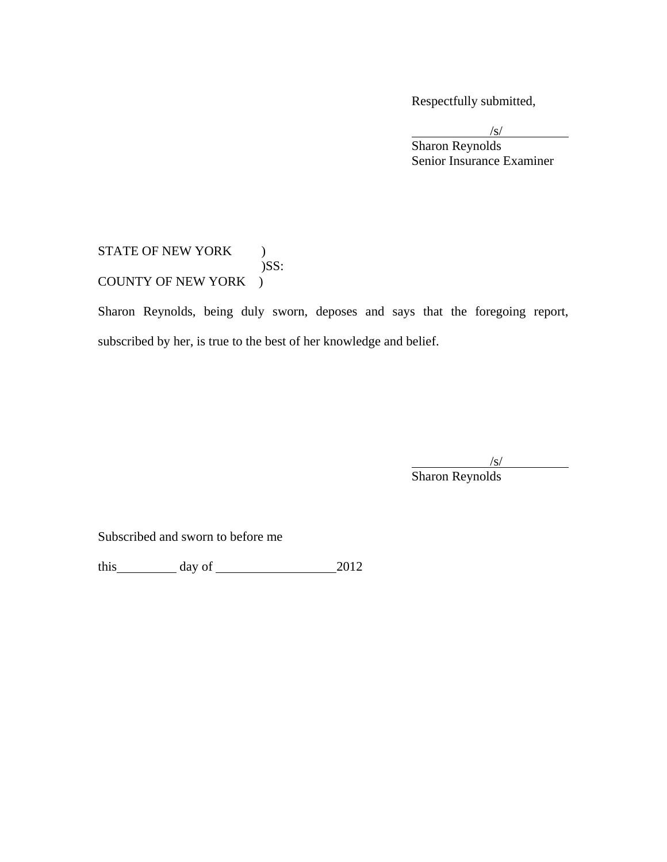Respectfully submitted,

 $\sqrt{s}$  $\sqrt{s}$  Sharon Reynolds Senior Insurance Examiner

#### STATE OF NEW YORK ) )SS: COUNTY OF NEW YORK )

Sharon Reynolds, being duly sworn, deposes and says that the foregoing report, subscribed by her, is true to the best of her knowledge and belief.

 $\frac{1}{s}$ Sharon Reynolds

Subscribed and sworn to before me

this  $\qquad \qquad \text{day of} \qquad \qquad 2012$